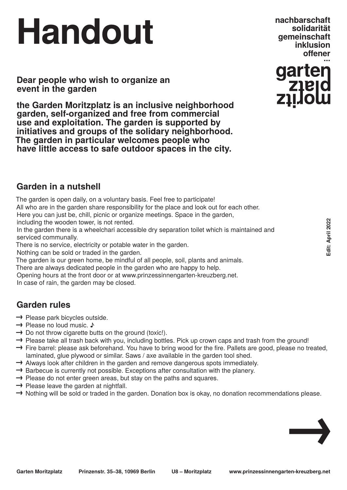# **Handout**

**Dear people who wish to organize an event in the garden**

**the Garden Moritzplatz is an inclusive neighborhood garden, self-organized and free from commercial use and exploitation. The garden is supported by initiatives and groups of the solidary neighborhood. The garden in particular welcomes people who have little access to safe outdoor spaces in the city.** 

**nachbarschaft inklusion solidarität gemeinschaft**



### **Garden in a nutshell**

The garden is open daily, on a voluntary basis. Feel free to participate!

All who are in the garden share responsibility for the place and look out for each other.

Here you can just be, chill, picnic or organize meetings. Space in the garden,

including the wooden tower, is not rented.

In the garden there is a wheelchari accessible dry separation toilet which is maintained and serviced communally.

There is no service, electricity or potable water in the garden.

Nothing can be sold or traded in the garden.

The garden is our green home, be mindful of all people, soil, plants and animals.

There are always dedicated people in the garden who are happy to help.

Opening hours at the front door or at www.prinzessinnengarten-kreuzberg.net.

In case of rain, the garden may be closed.

## **Garden rules**

- **→** Please park bicycles outside.
- **→** Please no loud music. ♪
- → Do not throw cigarette butts on the ground (toxic!).
- → Please take all trash back with you, including bottles. Pick up crown caps and trash from the ground!
- → Fire barrel: please ask beforehand. You have to bring wood for the fire. Pallets are good, please no treated, laminated, glue plywood or similar. Saws / axe available in the garden tool shed.
- → Always look after children in the garden and remove dangerous spots immediately.
- → Barbecue is currently not possible. Exceptions after consultation with the planery.
- → Please do not enter green areas, but stay on the paths and squares.
- → Please leave the garden at nightfall.
- → Nothing will be sold or traded in the garden. Donation box is okay, no donation recommendations please.